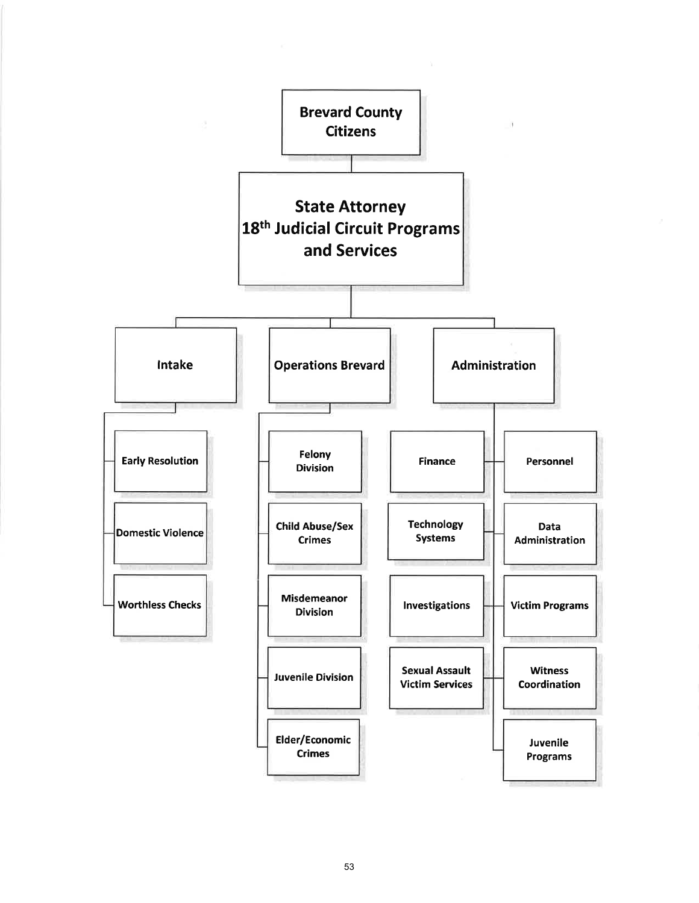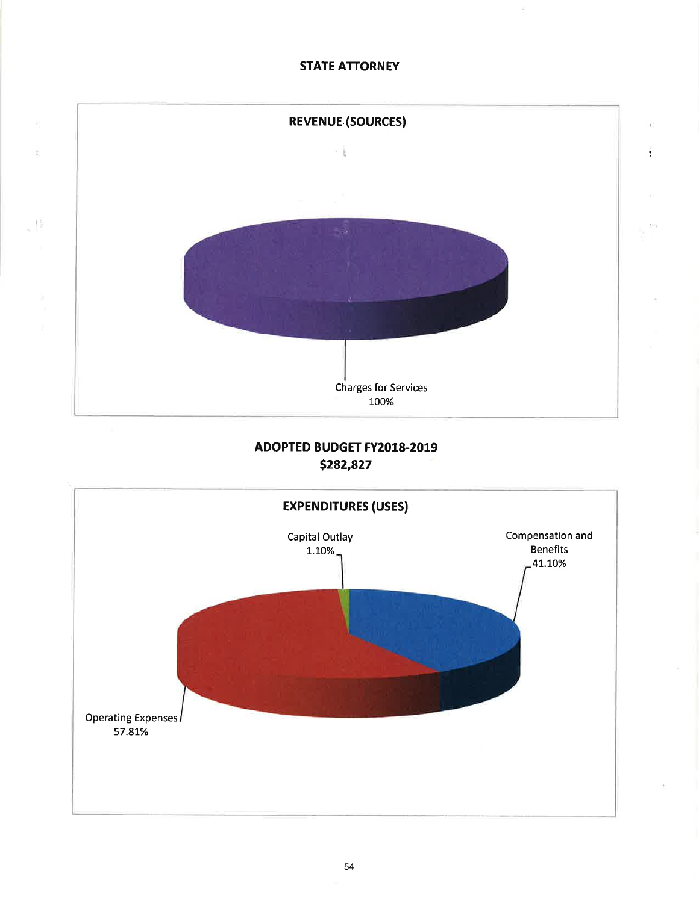# **STATE ATTORNEY**

 $\bar{\chi}$ 

 $\ddot{z}$ 



# **ADOPTED BUDGET FY2018-2019** \$282,827

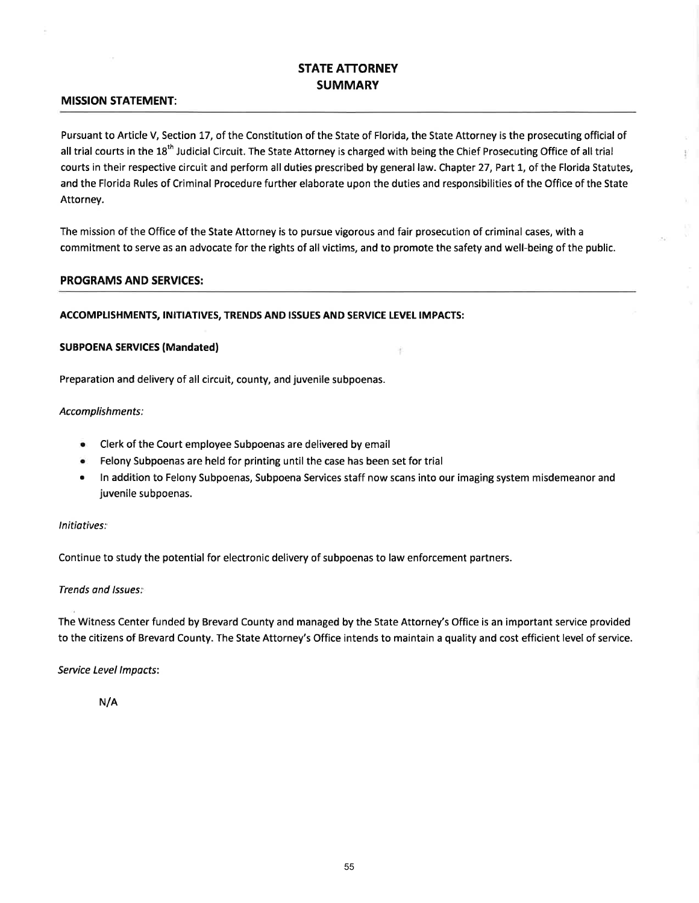# STATE ATTORNEY SUMMARY

### MISSION STATEMENT:

Pursuant to Article V, Section 17, of the Constitution of the State of Florida, the State Attorney is the prosecuting official of all trial courts in the 18<sup>th</sup> Judicial Circuit. The State Attorney is charged with being the Chief Prosecuting Office of all trial courts in their respective circuit and perform all duties prescribed by general law. Chapter 27, Part 1, of the Florida Statutes, and the Florida Rules of Criminal Procedure further elaborate upon the duties and responsibilities of the Office of the State Attorney.

Ð

The mission of the Office of the State Attorney is to pursue vigorous and fair prosecution of criminal cases, with <sup>a</sup> commitment to serve as an advocate for the rights of all victims, and to promote the safety and well-being of the public.

#### PROGRAMS AND SERVICES:

#### ACCOMPLISHMENTS, INITIATIVES, TRENDS AND ISSUES AND SERVICE LEVEL IMPACTS:

#### SUBPOENA SERVICES (Mandated)

Preparation and delivery of all circuit, county, and juvenile subpoenas.

#### Accomplishments:

- o Clerk of the Court employee Subpoenas are delivered by email
- r Felony Subpoenas are held for printing until the case has been set for trial
- In addition to Felony Subpoenas, Subpoena Services staff now scans into our imaging system misdemeanor and juvenile subpoenas.

÷

#### lnitiotives:

Continue to study the potential for electronic delivery of subpoenas to law enforcement partners.

#### Trends and lssues:

The Witness Center funded by Brevard County and managed by the State Attorney's Office is an important service provided to the citizens of Brevard County. The State Attorney's Office intends to maintain a quality and cost efficient level of service.

#### Service Level Impacts:

N/A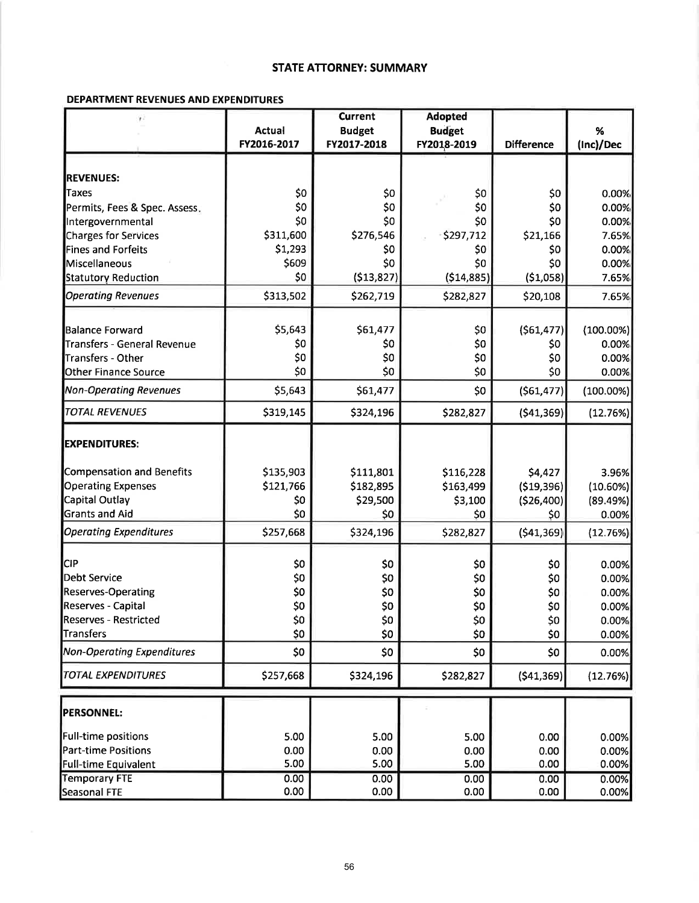## **STATE ATTORNEY: SUMMARY**

### DEPARTMENT REVENUES AND EXPENDITURES

| r:                                |               | <b>Current</b> | <b>Adopted</b> |                   |              |
|-----------------------------------|---------------|----------------|----------------|-------------------|--------------|
|                                   | <b>Actual</b> | <b>Budget</b>  | <b>Budget</b>  |                   | %            |
|                                   | FY2016-2017   | FY2017-2018    | FY2018-2019    | <b>Difference</b> | (Inc)/Dec    |
|                                   |               |                |                |                   |              |
| <b>REVENUES:</b>                  |               |                |                |                   |              |
| Taxes                             | \$0           | \$0            | \$0            | \$0               | 0.00%        |
| Permits, Fees & Spec. Assess.     | \$0           | \$0            | \$0            | \$0               | 0.00%        |
| Intergovernmental                 | \$0           | \$0            | \$0            | \$0               | 0.00%        |
| <b>Charges for Services</b>       | \$311,600     | \$276,546      | \$297,712      | \$21,166          | 7.65%        |
| Fines and Forfeits                | \$1,293       | \$0            | \$0            | \$0               | 0.00%        |
| Miscellaneous                     | \$609         | \$0            | \$0            | \$0               | 0.00%        |
| <b>Statutory Reduction</b>        | \$0           | (513, 827)     | (514, 885)     | (51,058)          | 7.65%        |
| <b>Operating Revenues</b>         | \$313,502     | \$262,719      | \$282,827      | \$20,108          | 7.65%        |
| Balance Forward                   | \$5,643       | \$61,477       | \$0            | (561, 477)        | $(100.00\%)$ |
| Transfers - General Revenue       | \$0           | \$0            | \$0            | \$0               | 0.00%        |
| Transfers - Other                 | \$0           | \$0            | \$0            | \$0               | 0.00%        |
| <b>Other Finance Source</b>       | \$0           | \$0            | \$0            | \$0               | 0.00%        |
|                                   |               |                |                |                   |              |
| <b>Non-Operating Revenues</b>     | \$5,643       | \$61,477       | \$0            | (561, 477)        | $(100.00\%)$ |
| <b>TOTAL REVENUES</b>             | \$319,145     | \$324,196      | \$282,827      | (541, 369)        | (12.76%)     |
| <b>EXPENDITURES:</b>              |               |                |                |                   |              |
| Compensation and Benefits         | \$135,903     | \$111,801      | \$116,228      | \$4,427           | 3.96%        |
| <b>Operating Expenses</b>         | \$121,766     | \$182,895      | \$163,499      | ( \$19,396)       | $(10.60\%)$  |
| Capital Outlay                    | \$0           | \$29,500       | \$3,100        | (526,400)         | (89.49%)     |
| <b>Grants and Aid</b>             | \$0           | \$0            | \$0            | \$0               | 0.00%        |
| <b>Operating Expenditures</b>     | \$257,668     | \$324,196      | \$282,827      | (541, 369)        | (12.76%)     |
|                                   |               |                |                |                   |              |
| <b>CIP</b>                        | \$0           | \$0            | \$0            | \$0               | 0.00%        |
| Debt Service                      | \$0           | \$0            | \$0            | \$0               | 0.00%        |
| <b>Reserves-Operating</b>         | \$0           | \$0            | \$0            | \$0               | 0.00%        |
| Reserves - Capital                | \$0           | \$0            | \$0            | \$0               | 0.00%        |
| <b>Reserves - Restricted</b>      | \$0           | \$0            | \$0            | \$0               | 0.00%        |
| <b>Transfers</b>                  | \$0           | \$0            | \$0            | \$0               | 0.00%        |
| <b>Non-Operating Expenditures</b> | \$0           | \$0            | \$0            | \$0               | 0.00%        |
| <b>TOTAL EXPENDITURES</b>         | \$257,668     | \$324,196      | \$282,827      | ( \$41,369]       | (12.76%)     |
| <b>PERSONNEL:</b>                 |               |                |                |                   |              |
| <b>Full-time positions</b>        | 5.00          | 5.00           | 5.00           | 0.00              | 0.00%        |
| <b>Part-time Positions</b>        | 0.00          | 0.00           | 0.00           | 0.00              | 0.00%        |
| <b>Full-time Equivalent</b>       | 5.00          | 5.00           | 5.00           | 0.00              | 0.00%        |
| <b>Temporary FTE</b>              | 0.00          | 0.00           | 0.00           | 0.00              | 0.00%        |
| Seasonal FTE                      | 0.00          | 0.00           | 0.00           | 0.00              | 0.00%        |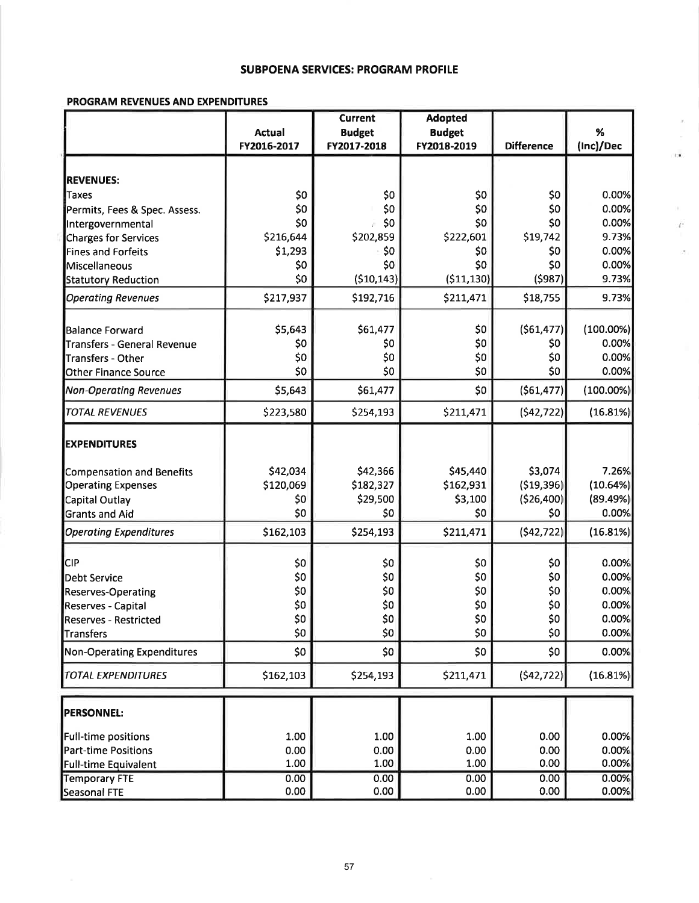### **SUBPOENA SERVICES: PROGRAM PROFILE**

y,

 $\mathbb{R}^n$  .

ř

### **PROGRAM REVENUES AND EXPENDITURES**

|                                   |                 | <b>Current</b>  | <b>Adopted</b>  |                   |              |
|-----------------------------------|-----------------|-----------------|-----------------|-------------------|--------------|
|                                   | <b>Actual</b>   | <b>Budget</b>   | <b>Budget</b>   |                   | %            |
|                                   | FY2016-2017     | FY2017-2018     | FY2018-2019     | <b>Difference</b> | (Inc)/Dec    |
|                                   |                 |                 |                 |                   |              |
| <b>REVENUES:</b>                  |                 |                 |                 |                   |              |
| Taxes                             | \$0             | \$0             | \$0             | \$0               | 0.00%        |
| Permits, Fees & Spec. Assess.     | \$0             | \$0             | \$0             | \$0               | 0.00%        |
| Intergovernmental                 | \$0             | \$0             | \$0             | \$0               | 0.00%        |
| <b>Charges for Services</b>       | \$216,644       | \$202,859       | \$222,601       | \$19,742          | 9.73%        |
| <b>Fines and Forfeits</b>         | \$1,293         | \$0             | \$0             | \$0               | 0.00%        |
| Miscellaneous                     | \$0             | \$0             | \$0             | \$0               | 0.00%        |
| <b>Statutory Reduction</b>        | \$0             | (510, 143)      | ( \$11, 130)    | (5987)            | 9.73%        |
| <b>Operating Revenues</b>         | \$217,937       | \$192,716       | \$211,471       | \$18,755          | 9.73%        |
| lBalance Forward                  | \$5,643         | \$61,477        | \$0             | (561, 477)        | $(100.00\%)$ |
| Transfers - General Revenue       | \$0             | \$0             | \$0             | \$0               | 0.00%        |
| Transfers - Other                 | \$0             | \$0             | \$0             | \$0               | 0.00%        |
| <b>Other Finance Source</b>       | \$0             | \$0             | \$0             | \$0               | 0.00%        |
| <b>Non-Operating Revenues</b>     | \$5,643         | \$61,477        | \$0             | ( \$61,477]       | $(100.00\%)$ |
| <b>TOTAL REVENUES</b>             | \$223,580       | \$254,193       | \$211,471       | (542, 722)        | (16.81%)     |
| <b>EXPENDITURES</b>               |                 |                 |                 |                   |              |
| Compensation and Benefits         | \$42,034        | \$42,366        | \$45,440        | \$3,074           | 7.26%        |
| <b>Operating Expenses</b>         | \$120,069       | \$182,327       | \$162,931       | (519, 396)        | (10.64%)     |
| Capital Outlay                    | \$0             | \$29,500        | \$3,100         | ( \$26,400]       | (89.49%)     |
| <b>Grants and Aid</b>             | \$0             | \$0             | \$0             | \$0               | 0.00%        |
| <b>Operating Expenditures</b>     | \$162,103       | \$254,193       | \$211,471       | (542, 722)        | (16.81%)     |
| <b>CIP</b>                        | \$0             | \$0             | \$0             | \$0               | 0.00%        |
| Debt Service                      | \$0             | \$0             | \$0             | \$0               | 0.00%        |
| <b>Reserves-Operating</b>         | \$0             | \$0             | \$0             | \$0               | 0.00%        |
| Reserves - Capital                | \$0             | \$0             | \$0             | \$0               | 0.00%        |
| <b>Reserves - Restricted</b>      | SO <sub>2</sub> | 50 <sub>2</sub> | SO <sub>2</sub> | \$0               | 0.00%        |
| Transfers                         | \$0             | \$0             | \$0             | \$0               | 0.00%        |
| <b>Non-Operating Expenditures</b> | \$0             | \$0             | \$0             | \$0               | 0.00%        |
| <b>TOTAL EXPENDITURES</b>         | \$162,103       | \$254,193       | \$211,471       | (542, 722)        | (16.81%)     |
|                                   |                 |                 |                 |                   |              |
| <b>PERSONNEL:</b>                 |                 |                 |                 |                   |              |
| Full-time positions               | 1.00            | 1.00            | 1.00            | 0.00              | 0.00%        |
| <b>Part-time Positions</b>        | 0.00            | 0.00            | 0.00            | 0.00              | 0.00%        |
| <b>Full-time Equivalent</b>       | 1.00            | 1.00            | 1.00            | 0.00              | 0.00%        |
| <b>Temporary FTE</b>              | 0.00            | 0.00            | 0.00            | 0.00              | 0.00%        |
| Seasonal FTE                      | 0.00            | 0.00            | 0.00            | 0.00              | 0.00%        |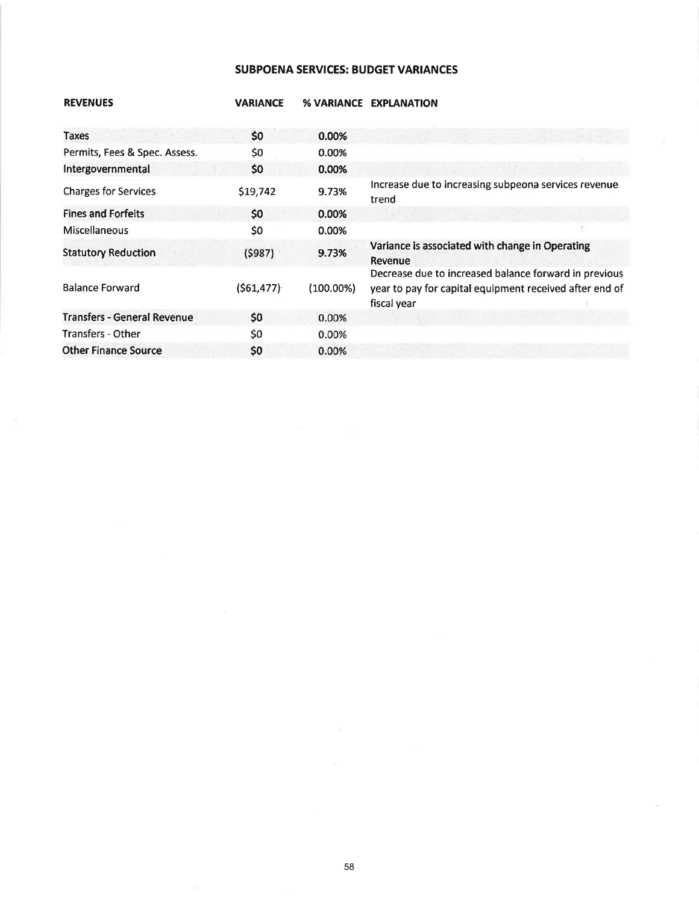## SUBPOENA SERVICES: BUDGET VARIANCES

| <b>REVENUES</b>                    | <b>VARIANCE</b> | % VARIANCE | <b>EXPLANATION</b>                                                                                                              |
|------------------------------------|-----------------|------------|---------------------------------------------------------------------------------------------------------------------------------|
| Taxes                              | \$0             | 0.00%      |                                                                                                                                 |
| Permits, Fees & Spec. Assess.      | \$0             | 0.00%      |                                                                                                                                 |
| Intergovernmental                  | \$0             | 0.00%      |                                                                                                                                 |
| <b>Charges for Services</b>        | \$19,742        | 9.73%      | Increase due to increasing subpeona services revenue<br>trend                                                                   |
| <b>Fines and Forfeits</b>          | \$0             | 0.00%      |                                                                                                                                 |
| <b>Miscellaneous</b>               | \$0             | 0.00%      |                                                                                                                                 |
| <b>Statutory Reduction</b>         | (5987)          | 9.73%      | Variance is associated with change in Operating<br>Revenue                                                                      |
| <b>Balance Forward</b>             | (561, 477)      | (100.00%)  | Decrease due to increased balance forward in previous<br>year to pay for capital equipment received after end of<br>fiscal year |
| <b>Transfers - General Revenue</b> | \$0             | 0.00%      |                                                                                                                                 |
| Transfers - Other                  | \$0             | 0.00%      |                                                                                                                                 |
| <b>Other Finance Source</b>        | \$0             | 0.00%      |                                                                                                                                 |

 $\lambda)$ 

Tá.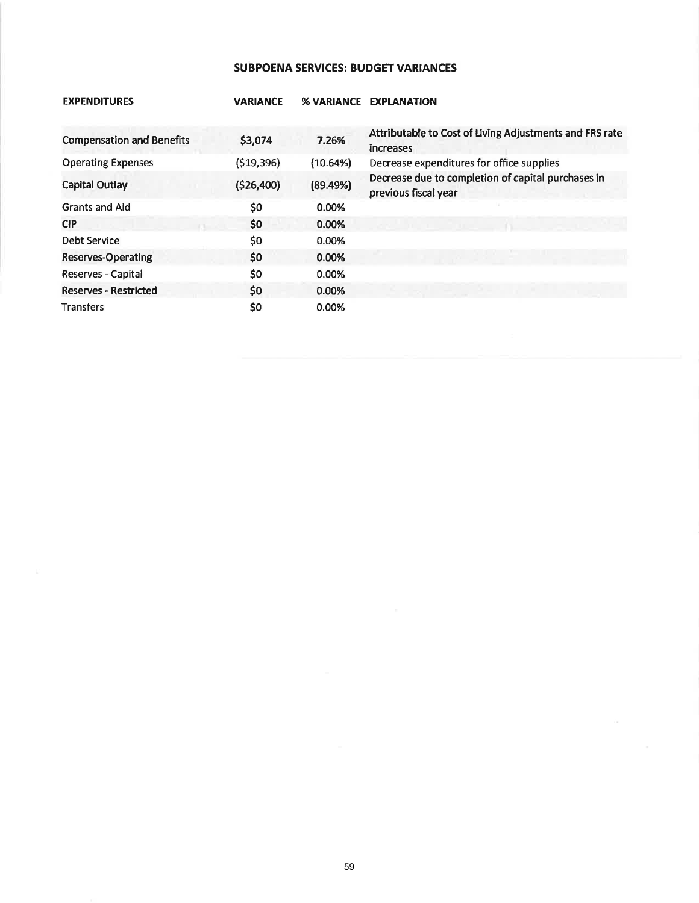# **SUBPOENA SERVICES: BUDGET VARIANCES**

| <b>EXPENDITURES</b>              | <b>VARIANCE</b> | <b>% VARIANCE</b> | <b>EXPLANATION</b>                                                         |
|----------------------------------|-----------------|-------------------|----------------------------------------------------------------------------|
| <b>Compensation and Benefits</b> | \$3,074         | 7.26%             | Attributable to Cost of Living Adjustments and FRS rate<br>increases       |
| <b>Operating Expenses</b>        | (519,396)       | (10.64%)          | Decrease expenditures for office supplies                                  |
| <b>Capital Outlay</b>            | (526, 400)      | (89.49%)          | Decrease due to completion of capital purchases in<br>previous fiscal year |
| <b>Grants and Aid</b>            | \$0             | 0.00%             |                                                                            |
| <b>CIP</b>                       | \$0             | 0.00%             |                                                                            |
| Debt Service                     | \$0             | 0.00%             |                                                                            |
| Reserves-Operating               | \$0             | 0.00%             |                                                                            |
| Reserves - Capital               | \$0             | 0.00%             |                                                                            |
| <b>Reserves - Restricted</b>     | \$0             | 0.00%             |                                                                            |
| <b>Transfers</b>                 | \$0             | 0.00%             |                                                                            |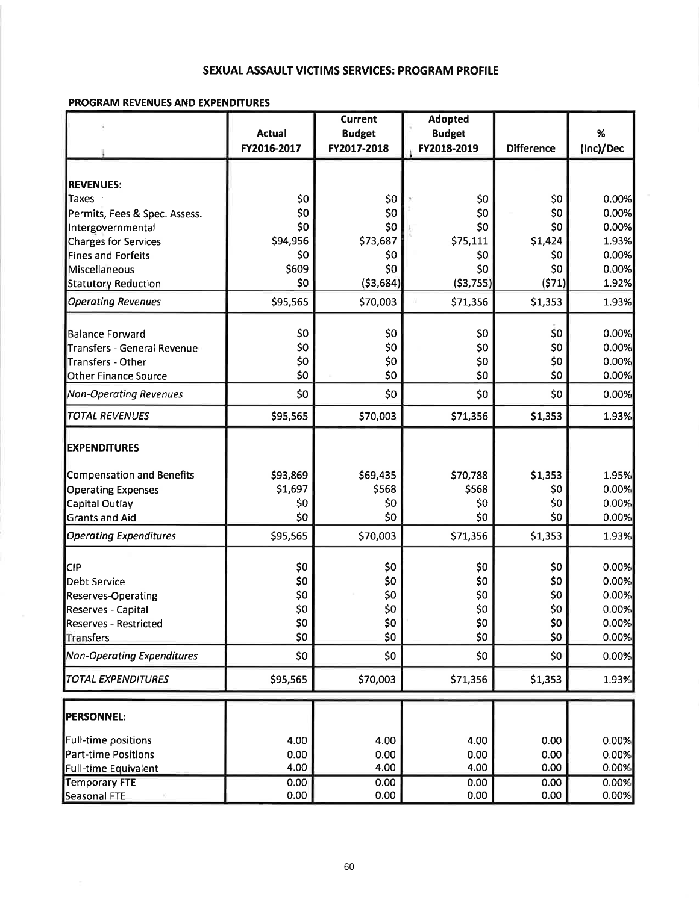# SEXUAL ASSAULT VICTIMS SERVICES: PROGRAM PROFILE

## **PROGRAM REVENUES AND EXPENDITURES**

|                                                         |                | <b>Current</b> | <b>Adopted</b> |                   |                |
|---------------------------------------------------------|----------------|----------------|----------------|-------------------|----------------|
|                                                         | Actual         | <b>Budget</b>  | <b>Budget</b>  |                   | %              |
|                                                         | FY2016-2017    | FY2017-2018    | FY2018-2019    | <b>Difference</b> | (Inc)/Dec      |
|                                                         |                |                |                |                   |                |
| <b>REVENUES:</b>                                        |                |                |                |                   |                |
| Taxes                                                   | \$0<br>\$0     | \$0<br>\$0     | \$0<br>\$0     | \$0<br>\$0        | 0.00%<br>0.00% |
| Permits, Fees & Spec. Assess.                           | \$0            | \$0            | \$0            | \$0               | 0.00%          |
| Intergovernmental<br><b>Charges for Services</b>        | \$94,956       | \$73,687       | \$75,111       | \$1,424           | 1.93%          |
| <b>Fines and Forfeits</b>                               | S <sub>0</sub> | \$0            | \$0            | \$0               | 0.00%          |
| Miscellaneous                                           | \$609          | \$0            | \$0            | \$0               | 0.00%          |
| Statutory Reduction                                     | \$0            | (53, 684)      | (53, 755)      | (571)             | 1.92%          |
| <b>Operating Revenues</b>                               | \$95,565       | \$70,003       | \$71,356       | \$1,353           | 1.93%          |
|                                                         |                |                |                |                   |                |
| Balance Forward                                         | \$0<br>\$0     | \$0            | \$0            | \$0               | 0.00%<br>0.00% |
| <b>Transfers - General Revenue</b>                      | \$0            | \$0<br>\$0     | \$0<br>\$0     | \$0<br>\$0        | 0.00%          |
| <b>Transfers - Other</b><br><b>Other Finance Source</b> | \$0            | \$0            | \$0            | \$0               | 0.00%          |
| <b>Non-Operating Revenues</b>                           | \$0            | \$0            | \$0            | \$0               | 0.00%          |
|                                                         |                |                |                |                   |                |
| <b>TOTAL REVENUES</b>                                   | \$95,565       | \$70,003       | \$71,356       | \$1,353           | 1.93%          |
| <b>EXPENDITURES</b>                                     |                |                |                |                   |                |
| Compensation and Benefits                               | \$93,869       | \$69,435       | \$70,788       | \$1,353           | 1.95%          |
| <b>Operating Expenses</b>                               | \$1,697        | \$568          | \$568          | \$0               | 0.00%          |
| Capital Outlay                                          | \$0            | \$0            | \$0            | \$0               | 0.00%          |
| <b>Grants and Aid</b>                                   | \$0            | \$0            | \$0            | \$0               | 0.00%          |
| <b>Operating Expenditures</b>                           | \$95,565       | \$70,003       | \$71,356       | \$1,353           | 1.93%          |
| <b>CIP</b>                                              | \$0            | \$0            | \$0            | \$0               | 0.00%          |
| <b>Debt Service</b>                                     | \$0            | \$0            | \$0            | \$0               | 0.00%          |
| <b>Reserves-Operating</b>                               | \$0            | \$0            | \$0            | \$0               | 0.00%          |
| Reserves - Capital                                      | \$0            | \$0            | \$0            | \$0               | 0.00%          |
| <b>Reserves - Restricted</b>                            | \$0            | \$0            | \$0            | \$0               | 0.00%          |
| Transfers                                               | \$0            | \$0            | \$0            | \$0               | 0.00%          |
| Non-Operating Expenditures                              | \$0            | \$0            | \$0            | \$0               | 0.00%          |
| <b>TOTAL EXPENDITURES</b>                               | \$95,565       | \$70,003       | \$71,356       | \$1,353           | 1.93%          |
|                                                         |                |                |                |                   |                |
| <b>PERSONNEL:</b>                                       |                |                |                |                   |                |
| Full-time positions                                     | 4.00           | 4.00           | 4.00           | 0.00              | 0.00%          |
| Part-time Positions                                     | 0.00           | 0.00           | 0.00           | 0.00              | 0.00%          |
| Full-time Equivalent                                    | 4.00           | 4.00           | 4.00           | 0.00              | 0.00%          |
| Temporary FTE                                           | 0.00           | 0.00           | 0.00           | 0.00              | 0.00%          |
| Seasonal FTE                                            | 0.00           | 0.00           | 0.00           | 0.00              | 0.00%          |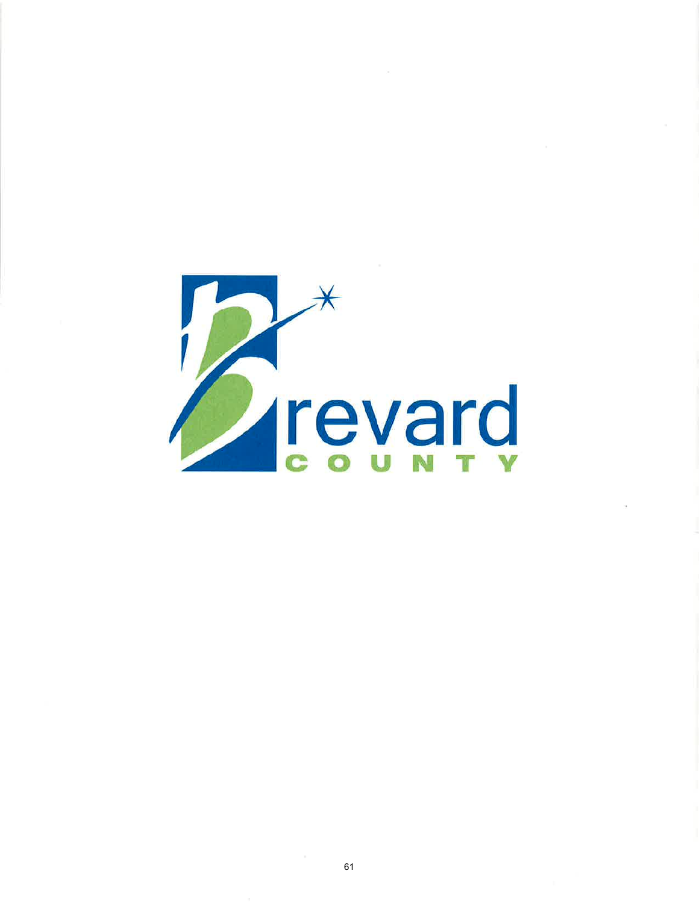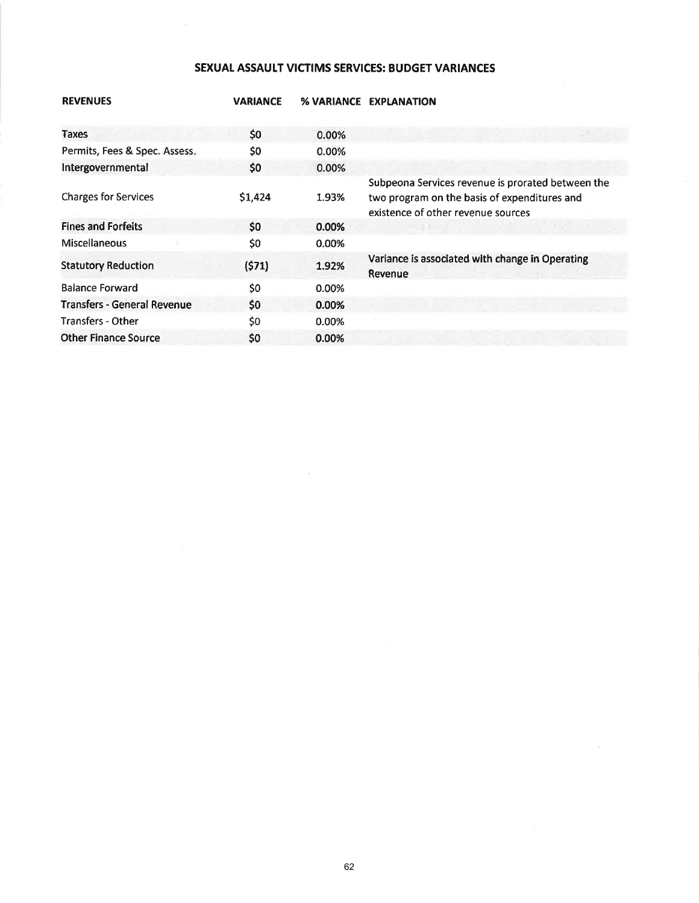# SEXUAL ASSAULT VICTIMS SERVICES: BUDGET VARIANCES

| <b>REVENUES</b>                    | <b>VARIANCE</b> |       | % VARIANCE EXPLANATION                                                                                                                  |
|------------------------------------|-----------------|-------|-----------------------------------------------------------------------------------------------------------------------------------------|
| <b>Taxes</b>                       | \$0             | 0.00% |                                                                                                                                         |
| Permits, Fees & Spec. Assess.      | \$0             | 0.00% |                                                                                                                                         |
| Intergovernmental                  | \$0             | 0.00% |                                                                                                                                         |
| <b>Charges for Services</b>        | \$1,424         | 1.93% | Subpeona Services revenue is prorated between the<br>two program on the basis of expenditures and<br>existence of other revenue sources |
| <b>Fines and Forfeits</b>          | \$0             | 0.00% |                                                                                                                                         |
| Miscellaneous                      | \$0             | 0.00% |                                                                                                                                         |
| <b>Statutory Reduction</b>         | (571)           | 1.92% | Variance is associated with change in Operating<br>Revenue                                                                              |
| <b>Balance Forward</b>             | \$0             | 0.00% |                                                                                                                                         |
| <b>Transfers - General Revenue</b> | \$0             | 0.00% |                                                                                                                                         |
| <b>Transfers - Other</b>           | \$0             | 0.00% |                                                                                                                                         |
| <b>Other Finance Source</b>        | \$0             | 0.00% |                                                                                                                                         |
|                                    |                 |       |                                                                                                                                         |

 $\tau$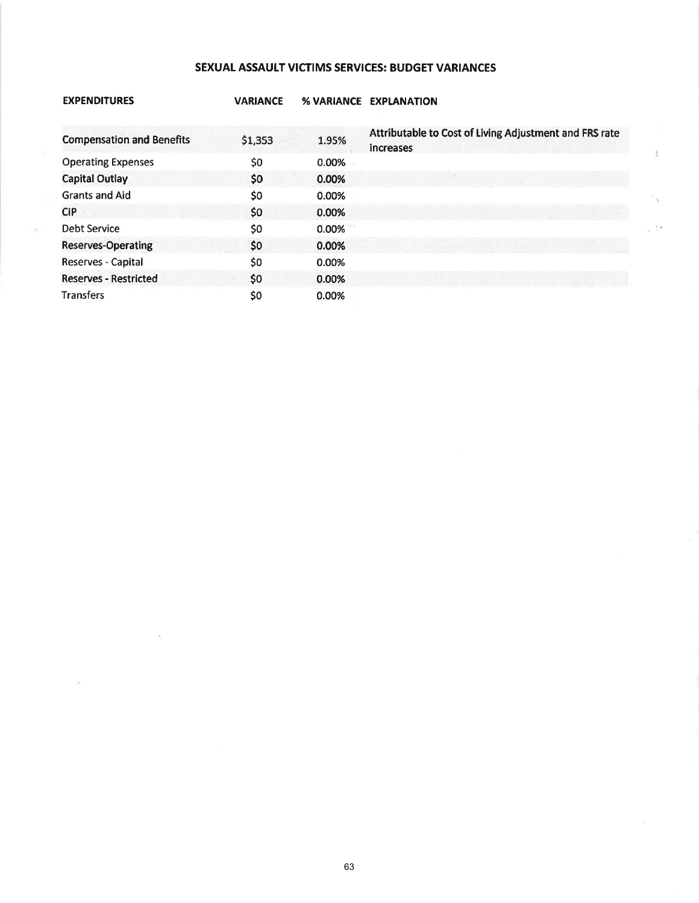# SEXUAL ASSAULT VICTIMS SERVICES: BUDGET VARIANCES

| <b>EXPENDITURES</b>              | <b>VARIANCE</b> |          | % VARIANCE EXPLANATION                                                     |
|----------------------------------|-----------------|----------|----------------------------------------------------------------------------|
| <b>Compensation and Benefits</b> | \$1,353         | 1.95%    | Attributable to Cost of Living Adjustment and FRS rate<br><b>Increases</b> |
| <b>Operating Expenses</b>        | \$0             | 0.00%    |                                                                            |
| Capital Outlay                   | \$0             | 0.00%    |                                                                            |
| <b>Grants and Aid</b>            | \$0             | 0.00%    | 700                                                                        |
| <b>CIP</b>                       | \$0             | $0.00\%$ |                                                                            |
| <b>Debt Service</b>              | \$0             | $0.00\%$ | c 16                                                                       |
| <b>Reserves-Operating</b>        | \$0             | 0.00%    |                                                                            |
| Reserves - Capital               | \$0             | 0.00%    |                                                                            |
| <b>Reserves - Restricted</b>     | \$0             | 0.00%    |                                                                            |
| <b>Transfers</b>                 | \$0             | 0.00%    |                                                                            |